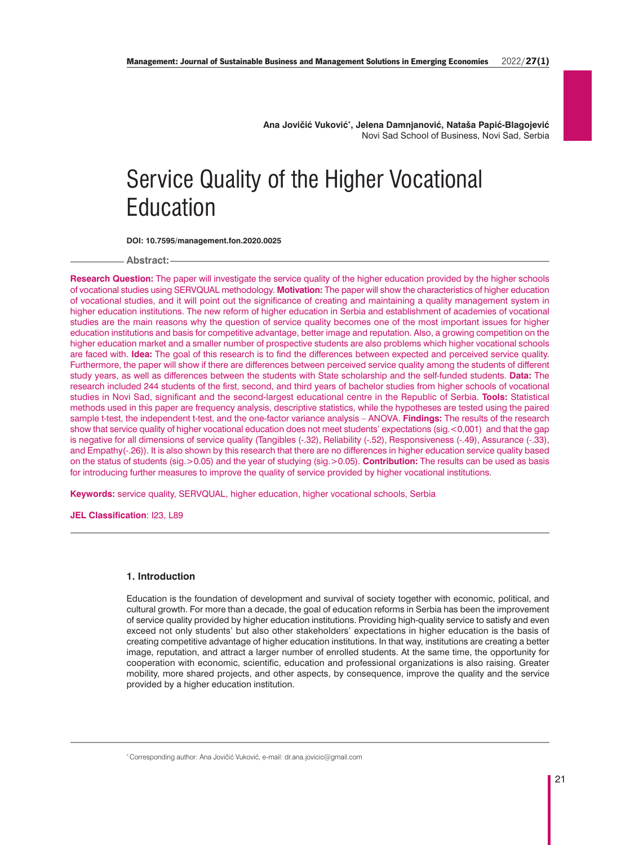**Ana Jovičić Vuković\* , Jelena Damnjanović, Nataša Papić-Blagojević** Novi Sad School of Business, Novi Sad, Serbia

# Service Quality of the Higher Vocational Education

**DOI: 10.7595/management.fon.2020.0025**

**Abstract:**

**Research Question:** The paper will investigate the service quality of the higher education provided by the higher schools of vocational studies using SERVQUAL methodology. **Motivation:** The paper will show the characteristics of higher education of vocational studies, and it will point out the significance of creating and maintaining a quality management system in higher education institutions. The new reform of higher education in Serbia and establishment of academies of vocational studies are the main reasons why the question of service quality becomes one of the most important issues for higher education institutions and basis for competitive advantage, better image and reputation. Also, a growing competition on the higher education market and a smaller number of prospective students are also problems which higher vocational schools are faced with. **Idea:** The goal of this research is to find the differences between expected and perceived service quality. Furthermore, the paper will show if there are differences between perceived service quality among the students of different study years, as well as differences between the students with State scholarship and the self-funded students. **Data:** The research included 244 students of the first, second, and third years of bachelor studies from higher schools of vocational studies in Novi Sad, significant and the second-largest educational centre in the Republic of Serbia. **Tools:** Statistical methods used in this paper are frequency analysis, descriptive statistics, while the hypotheses are tested using the paired sample t-test, the independent t-test, and the one-factor variance analysis – ANOVA. **Findings:** The results of the research show that service quality of higher vocational education does not meet students' expectations (sig.<0,001) and that the gap is negative for all dimensions of service quality (Tangibles (-.32), Reliability (-.52), Responsiveness (-.49), Assurance (-.33), and Empathy(-.26)). It is also shown by this research that there are no differences in higher education service quality based on the status of students (sig.>0.05) and the year of studying (sig.>0.05). **Contribution:** The results can be used as basis for introducing further measures to improve the quality of service provided by higher vocational institutions.

**Keywords:** service quality, SERVQUAL, higher education, higher vocational schools, Serbia

**JEL Classification**: I23, L89

### **1. Introduction**

Education is the foundation of development and survival of society together with economic, political, and cultural growth. For more than a decade, the goal of education reforms in Serbia has been the improvement of service quality provided by higher education institutions. Providing high-quality service to satisfy and even exceed not only students' but also other stakeholders' expectations in higher education is the basis of creating competitive advantage of higher education institutions. In that way, institutions are creating a better image, reputation, and attract a larger number of enrolled students. At the same time, the opportunity for cooperation with economic, scientific, education and professional organizations is also raising. Greater mobility, more shared projects, and other aspects, by consequence, improve the quality and the service provided by a higher education institution.

\* Corresponding author: Ana Jovičić Vuković, e-mail: dr.ana.jovicic@gmail.com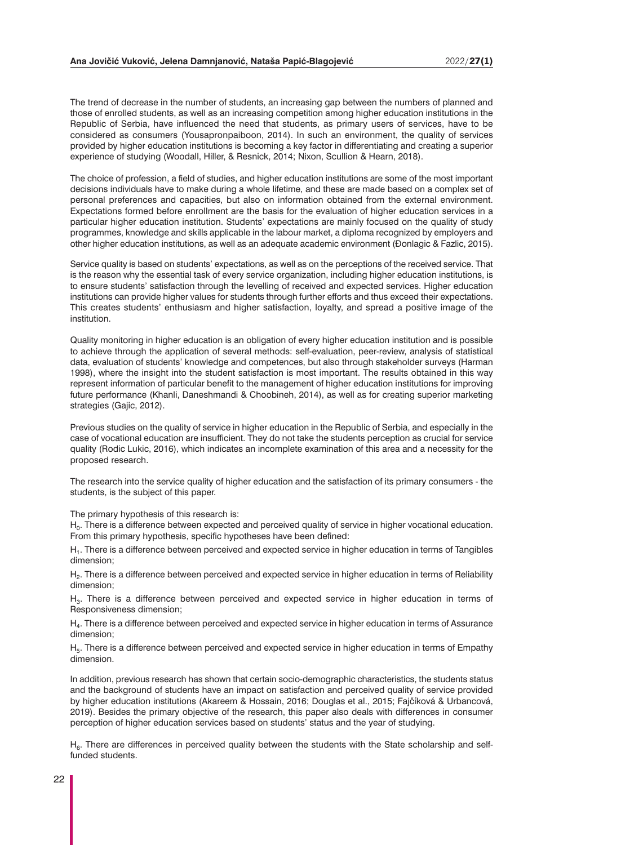The trend of decrease in the number of students, an increasing gap between the numbers of planned and those of enrolled students, as well as an increasing competition among higher education institutions in the Republic of Serbia, have influenced the need that students, as primary users of services, have to be considered as consumers (Yousapronpaiboon, 2014). In such an environment, the quality of services provided by higher education institutions is becoming a key factor in differentiating and creating a superior experience of studying (Woodall, Hiller, & Resnick, 2014; Nixon, Scullion & Hearn, 2018).

The choice of profession, a field of studies, and higher education institutions are some of the most important decisions individuals have to make during a whole lifetime, and these are made based on a complex set of personal preferences and capacities, but also on information obtained from the external environment. Expectations formed before enrollment are the basis for the evaluation of higher education services in a particular higher education institution. Students' expectations are mainly focused on the quality of study programmes, knowledge and skills applicable in the labour market, a diploma recognized by employers and other higher education institutions, as well as an adequate academic environment (Đonlagic & Fazlic, 2015).

Service quality is based on students' expectations, as well as on the perceptions of the received service. That is the reason why the essential task of every service organization, including higher education institutions, is to ensure students' satisfaction through the levelling of received and expected services. Higher education institutions can provide higher values for students through further efforts and thus exceed their expectations. This creates students' enthusiasm and higher satisfaction, loyalty, and spread a positive image of the institution.

Quality monitoring in higher education is an obligation of every higher education institution and is possible to achieve through the application of several methods: self-evaluation, peer-review, analysis of statistical data, evaluation of students' knowledge and competences, but also through stakeholder surveys (Harman 1998), where the insight into the student satisfaction is most important. The results obtained in this way represent information of particular benefit to the management of higher education institutions for improving future performance (Khanli, Daneshmandi & Choobineh, 2014), as well as for creating superior marketing strategies (Gaiic, 2012).

Previous studies on the quality of service in higher education in the Republic of Serbia, and especially in the case of vocational education are insufficient. They do not take the students perception as crucial for service quality (Rodic Lukic, 2016), which indicates an incomplete examination of this area and a necessity for the proposed research.

The research into the service quality of higher education and the satisfaction of its primary consumers - the students, is the subject of this paper.

The primary hypothesis of this research is:

 $H<sub>0</sub>$ . There is a difference between expected and perceived quality of service in higher vocational education. From this primary hypothesis, specific hypotheses have been defined:

H<sub>1</sub>. There is a difference between perceived and expected service in higher education in terms of Tangibles dimension;

H<sub>2</sub>. There is a difference between perceived and expected service in higher education in terms of Reliability dimension;

H<sub>3</sub>. There is a difference between perceived and expected service in higher education in terms of Responsiveness dimension;

 $H<sub>4</sub>$ . There is a difference between perceived and expected service in higher education in terms of Assurance dimension;

 $H<sub>5</sub>$ . There is a difference between perceived and expected service in higher education in terms of Empathy dimension.

In addition, previous research has shown that certain socio-demographic characteristics, the students status and the background of students have an impact on satisfaction and perceived quality of service provided by higher education institutions (Akareem & Hossain, 2016; Douglas et al., 2015; Fajčíková & Urbancová, 2019). Besides the primary objective of the research, this paper also deals with differences in consumer perception of higher education services based on students' status and the year of studying.

 $H<sub>6</sub>$ . There are differences in perceived quality between the students with the State scholarship and selffunded students.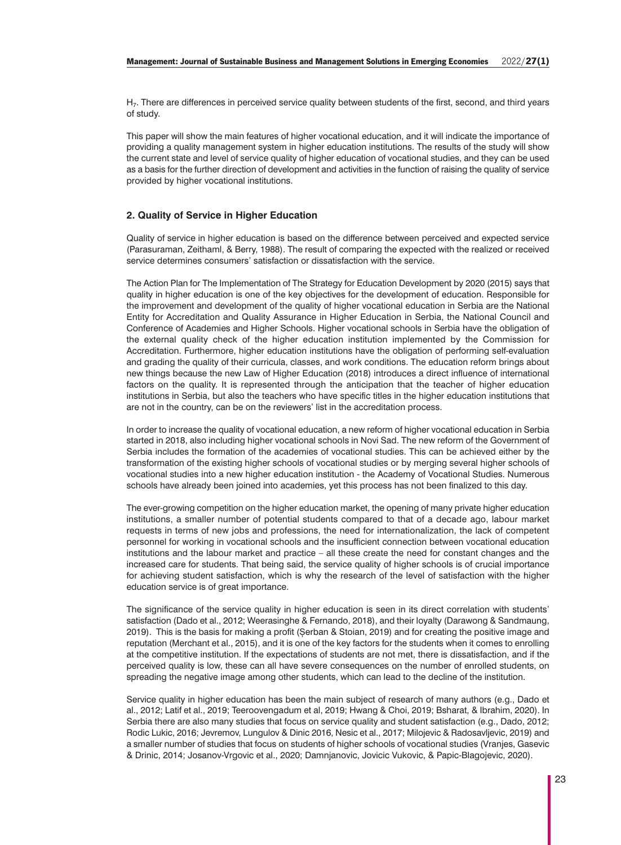H7. There are differences in perceived service quality between students of the first, second, and third years of study.

This paper will show the main features of higher vocational education, and it will indicate the importance of providing a quality management system in higher education institutions. The results of the study will show the current state and level of service quality of higher education of vocational studies, and they can be used as a basis for the further direction of development and activities in the function of raising the quality of service provided by higher vocational institutions.

## **2. Quality of Service in Higher Education**

Quality of service in higher education is based on the difference between perceived and expected service (Parasuraman, Zeithaml, & Berry, 1988). The result of comparing the expected with the realized or received service determines consumers' satisfaction or dissatisfaction with the service.

The Action Plan for The Implementation of The Strategy for Education Development by 2020 (2015) says that quality in higher education is one of the key objectives for the development of education. Responsible for the improvement and development of the quality of higher vocational education in Serbia are the National Entity for Accreditation and Quality Assurance in Higher Education in Serbia, the National Council and Conference of Academies and Higher Schools. Higher vocational schools in Serbia have the obligation of the external quality check of the higher education institution implemented by the Commission for Accreditation. Furthermore, higher education institutions have the obligation of performing self-evaluation and grading the quality of their curricula, classes, and work conditions. The education reform brings about new things because the new Law of Higher Education (2018) introduces a direct influence of international factors on the quality. It is represented through the anticipation that the teacher of higher education institutions in Serbia, but also the teachers who have specific titles in the higher education institutions that are not in the country, can be on the reviewers' list in the accreditation process.

In order to increase the quality of vocational education, a new reform of higher vocational education in Serbia started in 2018, also including higher vocational schools in Novi Sad. The new reform of the Government of Serbia includes the formation of the academies of vocational studies. This can be achieved either by the transformation of the existing higher schools of vocational studies or by merging several higher schools of vocational studies into a new higher education institution - the Academy of Vocational Studies. Numerous schools have already been joined into academies, yet this process has not been finalized to this day.

The ever-growing competition on the higher education market, the opening of many private higher education institutions, a smaller number of potential students compared to that of a decade ago, labour market requests in terms of new jobs and professions, the need for internationalization, the lack of competent personnel for working in vocational schools and the insufficient connection between vocational education institutions and the labour market and practice – all these create the need for constant changes and the increased care for students. That being said, the service quality of higher schools is of crucial importance for achieving student satisfaction, which is why the research of the level of satisfaction with the higher education service is of great importance.

The significance of the service quality in higher education is seen in its direct correlation with students' satisfaction (Dado et al., 2012; Weerasinghe & Fernando, 2018), and their loyalty (Darawong & Sandmaung, 2019). This is the basis for making a profit (Șerban & Stoian, 2019) and for creating the positive image and reputation (Merchant et al., 2015), and it is one of the key factors for the students when it comes to enrolling at the competitive institution. If the expectations of students are not met, there is dissatisfaction, and if the perceived quality is low, these can all have severe consequences on the number of enrolled students, on spreading the negative image among other students, which can lead to the decline of the institution.

Service quality in higher education has been the main subject of research of many authors (e.g., Dado et al., 2012; Latif et al., 2019; Teeroovengadum et al, 2019; Hwang & Choi, 2019; Bsharat, & Ibrahim, 2020). In Serbia there are also many studies that focus on service quality and student satisfaction (e.g., Dado, 2012; Rodic Lukic, 2016; Jevremov, Lungulov & Dinic 2016, Nesic et al., 2017; Milojevic & Radosavljevic, 2019) and a smaller number of studies that focus on students of higher schools of vocational studies (Vranjes, Gasevic & Drinic, 2014; Josanov-Vrgovic et al., 2020; Damnjanovic, Jovicic Vukovic, & Papic-Blagojevic, 2020).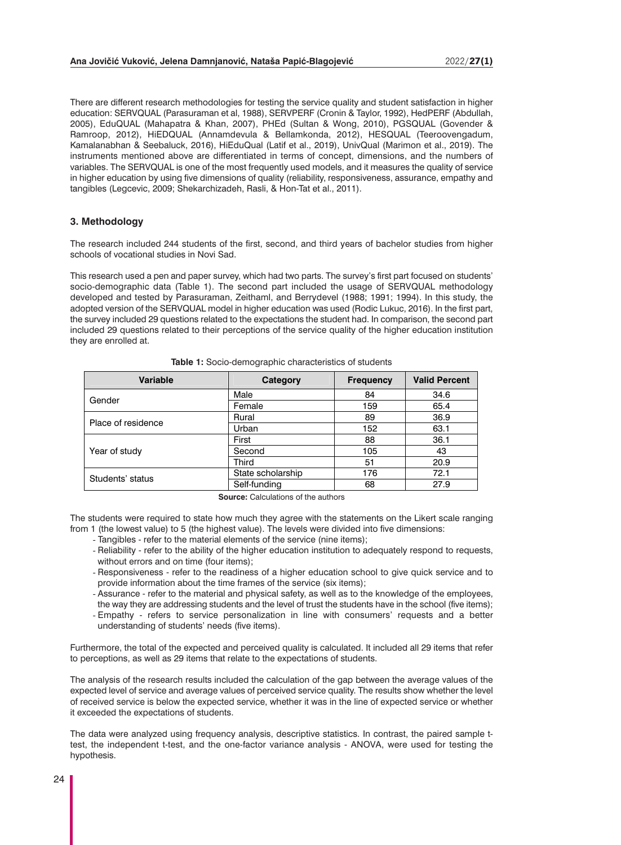There are different research methodologies for testing the service quality and student satisfaction in higher education: SERVQUAL (Parasuraman et al, 1988), SERVPERF (Cronin & Taylor, 1992), HedPERF (Abdullah, 2005), EduQUAL (Mahapatra & Khan, 2007), PHEd (Sultan & Wong, 2010), PGSQUAL (Govender & Ramroop, 2012), HiEDQUAL (Annamdevula & Bellamkonda, 2012), HESQUAL (Teeroovengadum, Kamalanabhan & Seebaluck, 2016), HiEduQual (Latif et al., 2019), UnivQual (Marimon et al., 2019). The instruments mentioned above are differentiated in terms of concept, dimensions, and the numbers of variables. The SERVQUAL is one of the most frequently used models, and it measures the quality of service in higher education by using five dimensions of quality (reliability, responsiveness, assurance, empathy and tangibles (Legcevic, 2009; Shekarchizadeh, Rasli, & Hon-Tat et al., 2011).

#### **3. Methodology**

The research included 244 students of the first, second, and third years of bachelor studies from higher schools of vocational studies in Novi Sad.

This research used a pen and paper survey, which had two parts. The survey's first part focused on students' socio-demographic data (Table 1). The second part included the usage of SERVQUAL methodology developed and tested by Parasuraman, Zeithaml, and Berrydevel (1988; 1991; 1994). In this study, the adopted version of the SERVQUAL model in higher education was used (Rodic Lukuc, 2016). In the first part, the survey included 29 questions related to the expectations the student had. In comparison, the second part included 29 questions related to their perceptions of the service quality of the higher education institution they are enrolled at.

| <b>Variable</b>    | Category          | <b>Frequency</b> | <b>Valid Percent</b> |  |
|--------------------|-------------------|------------------|----------------------|--|
| Gender             | Male              | 84               | 34.6                 |  |
|                    | Female            | 159              | 65.4                 |  |
| Place of residence | Rural             | 89               | 36.9                 |  |
|                    | Urban             | 152              | 63.1                 |  |
|                    | First             | 88               | 36.1                 |  |
| Year of study      | Second            | 105              | 43                   |  |
|                    | Third             | 51               | 20.9                 |  |
| Students' status   | State scholarship | 176              | 72.1                 |  |
|                    | Self-funding      | 68               | 27.9                 |  |

**Table 1:** Socio-demographic characteristics of students

**Source:** Calculations of the authors

The students were required to state how much they agree with the statements on the Likert scale ranging from 1 (the lowest value) to 5 (the highest value). The levels were divided into five dimensions:

- Tangibles refer to the material elements of the service (nine items);
- Reliability refer to the ability of the higher education institution to adequately respond to requests, without errors and on time (four items);
- Responsiveness refer to the readiness of a higher education school to give quick service and to provide information about the time frames of the service (six items);
- Assurance refer to the material and physical safety, as well as to the knowledge of the employees, the way they are addressing students and the level of trust the students have in the school (five items);
- Empathy refers to service personalization in line with consumers' requests and a better understanding of students' needs (five items).

Furthermore, the total of the expected and perceived quality is calculated. It included all 29 items that refer to perceptions, as well as 29 items that relate to the expectations of students.

The analysis of the research results included the calculation of the gap between the average values of the expected level of service and average values of perceived service quality. The results show whether the level of received service is below the expected service, whether it was in the line of expected service or whether it exceeded the expectations of students.

The data were analyzed using frequency analysis, descriptive statistics. In contrast, the paired sample ttest, the independent t-test, and the one-factor variance analysis - ANOVA, were used for testing the hypothesis.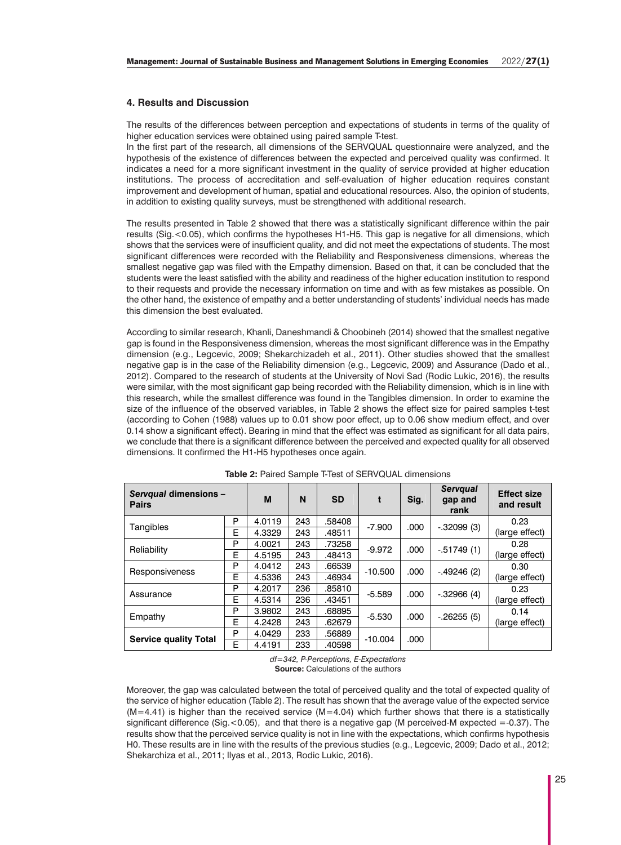## **4. Results and Discussion**

The results of the differences between perception and expectations of students in terms of the quality of higher education services were obtained using paired sample T-test.

In the first part of the research, all dimensions of the SERVQUAL questionnaire were analyzed, and the hypothesis of the existence of differences between the expected and perceived quality was confirmed. It indicates a need for a more significant investment in the quality of service provided at higher education institutions. The process of accreditation and self-evaluation of higher education requires constant improvement and development of human, spatial and educational resources. Also, the opinion of students, in addition to existing quality surveys, must be strengthened with additional research.

The results presented in Table 2 showed that there was a statistically significant difference within the pair results (Sig.<0.05), which confirms the hypotheses H1-H5. This gap is negative for all dimensions, which shows that the services were of insufficient quality, and did not meet the expectations of students. The most significant differences were recorded with the Reliability and Responsiveness dimensions, whereas the smallest negative gap was filed with the Empathy dimension. Based on that, it can be concluded that the students were the least satisfied with the ability and readiness of the higher education institution to respond to their requests and provide the necessary information on time and with as few mistakes as possible. On the other hand, the existence of empathy and a better understanding of students' individual needs has made this dimension the best evaluated.

According to similar research, Khanli, Daneshmandi & Choobineh (2014) showed that the smallest negative gap is found in the Responsiveness dimension, whereas the most significant difference was in the Empathy dimension (e.g., Legcevic, 2009; Shekarchizadeh et al., 2011). Other studies showed that the smallest negative gap is in the case of the Reliability dimension (e.g., Legcevic, 2009) and Assurance (Dado et al., 2012). Compared to the research of students at the University of Novi Sad (Rodic Lukic, 2016), the results were similar, with the most significant gap being recorded with the Reliability dimension, which is in line with this research, while the smallest difference was found in the Tangibles dimension. In order to examine the size of the influence of the observed variables, in Table 2 shows the effect size for paired samples t-test (according to Cohen (1988) values up to 0.01 show poor effect, up to 0.06 show medium effect, and over 0.14 show a significant effect). Bearing in mind that the effect was estimated as significant for all data pairs, we conclude that there is a significant difference between the perceived and expected quality for all observed dimensions. It confirmed the H1-H5 hypotheses once again.

| Servqual dimensions -<br><b>Pairs</b> |   | M      | N   | <b>SD</b> | t         | Sig. | <b>Servqual</b><br>gap and<br>rank | <b>Effect size</b><br>and result |
|---------------------------------------|---|--------|-----|-----------|-----------|------|------------------------------------|----------------------------------|
| Tangibles                             | P | 4.0119 | 243 | .58408    | $-7.900$  | .000 | $-.32099(3)$                       | 0.23                             |
|                                       | Е | 4.3329 | 243 | .48511    |           |      |                                    | (large effect)                   |
| Reliability                           | P | 4.0021 | 243 | .73258    | $-9.972$  | .000 | $-0.51749(1)$                      | 0.28                             |
|                                       | Е | 4.5195 | 243 | .48413    |           |      |                                    | (large effect)                   |
| <b>Responsiveness</b>                 | P | 4.0412 | 243 | .66539    | $-10.500$ | .000 | $-49246(2)$                        | 0.30                             |
|                                       | E | 4.5336 | 243 | .46934    |           |      |                                    | (large effect)                   |
| Assurance                             | P | 4.2017 | 236 | .85810    | $-5.589$  | .000 | $-.32966(4)$                       | 0.23                             |
|                                       | Е | 4.5314 | 236 | .43451    |           |      |                                    | (large effect)                   |
| Empathy                               | P | 3.9802 | 243 | .68895    | $-5.530$  | .000 | $-26255(5)$                        | 0.14                             |
|                                       | Е | 4.2428 | 243 | .62679    |           |      |                                    | (large effect)                   |
| <b>Service quality Total</b>          | P | 4.0429 | 233 | .56889    |           |      |                                    |                                  |
|                                       | E | 4.4191 | 233 | .40598    | $-10.004$ | .000 |                                    |                                  |
| .                                     |   |        |     |           |           |      |                                    |                                  |

| <b>Table 2: Paired Sample T-Test of SERVQUAL dimensions</b> |  |  |  |  |  |  |
|-------------------------------------------------------------|--|--|--|--|--|--|
|-------------------------------------------------------------|--|--|--|--|--|--|

*df=342, P-Perceptions, E-Expectations* **Source:** Calculations of the authors

Moreover, the gap was calculated between the total of perceived quality and the total of expected quality of the service of higher education (Table 2). The result has shown that the average value of the expected service  $(M=4.41)$  is higher than the received service  $(M=4.04)$  which further shows that there is a statistically significant difference (Sig. < 0.05), and that there is a negative gap (M perceived-M expected =-0.37). The results show that the perceived service quality is not in line with the expectations, which confirms hypothesis H0. These results are in line with the results of the previous studies (e.g., Legcevic, 2009; Dado et al., 2012; Shekarchiza et al., 2011; Ilyas et al., 2013, Rodic Lukic, 2016).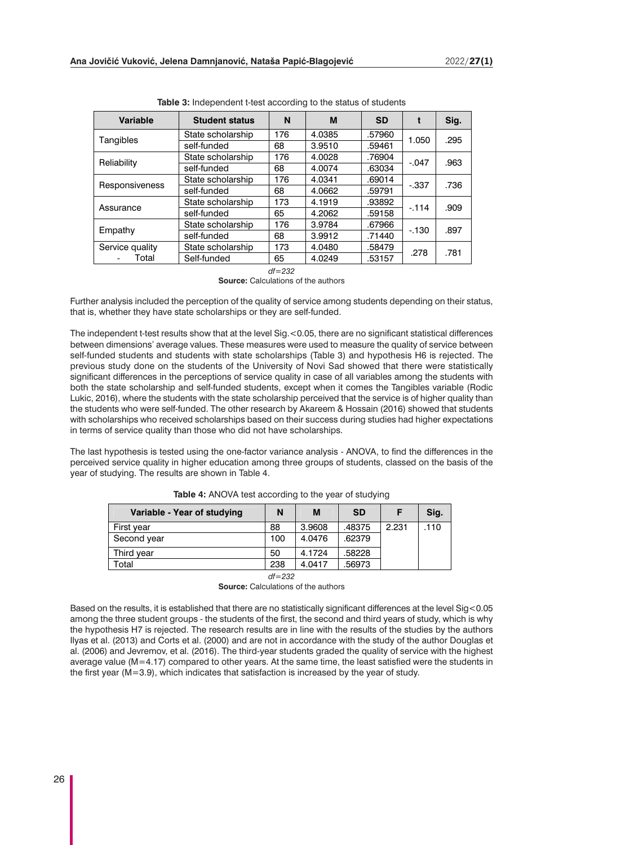| <b>Variable</b> | <b>Student status</b> | N   | M      | <b>SD</b> |         | Sig. |  |
|-----------------|-----------------------|-----|--------|-----------|---------|------|--|
|                 | State scholarship     | 176 | 4.0385 | .57960    | 1.050   | .295 |  |
| Tangibles       | self-funded           | 68  | 3.9510 | .59461    |         |      |  |
| Reliability     | State scholarship     | 176 | 4.0028 | .76904    | $-.047$ | .963 |  |
|                 | self-funded           | 68  | 4.0074 | .63034    |         |      |  |
| Responsiveness  | State scholarship     | 176 | 4.0341 | .69014    | $-337$  | .736 |  |
|                 | self-funded           | 68  | 4.0662 | .59791    |         |      |  |
| Assurance       | State scholarship     | 173 | 4.1919 | .93892    | $-114$  | .909 |  |
|                 | self-funded           | 65  | 4.2062 | .59158    |         |      |  |
| Empathy         | State scholarship     | 176 | 3.9784 | .67966    |         | .897 |  |
|                 | self-funded           | 68  | 3.9912 | .71440    | $-130$  |      |  |
| Service quality | State scholarship     | 173 | 4.0480 | .58479    |         | .781 |  |
| Total           | Self-funded           | 65  | 4.0249 | .53157    | .278    |      |  |
| $df = 2.32$     |                       |     |        |           |         |      |  |

**Table 3:** Independent t-test according to the status of students

**Source:** Calculations of the authors

Further analysis included the perception of the quality of service among students depending on their status, that is, whether they have state scholarships or they are self-funded.

The independent t-test results show that at the level Sig. < 0.05, there are no significant statistical differences between dimensions' average values. These measures were used to measure the quality of service between self-funded students and students with state scholarships (Table 3) and hypothesis H6 is rejected. The previous study done on the students of the University of Novi Sad showed that there were statistically significant differences in the perceptions of service quality in case of all variables among the students with both the state scholarship and self-funded students, except when it comes the Tangibles variable (Rodic Lukic, 2016), where the students with the state scholarship perceived that the service is of higher quality than the students who were self-funded. The other research by Akareem & Hossain (2016) showed that students with scholarships who received scholarships based on their success during studies had higher expectations in terms of service quality than those who did not have scholarships.

The last hypothesis is tested using the one-factor variance analysis - ANOVA, to find the differences in the perceived service quality in higher education among three groups of students, classed on the basis of the year of studying. The results are shown in Table 4.

| Variable - Year of studying | N         | М      | <b>SD</b> |       | Sig. |
|-----------------------------|-----------|--------|-----------|-------|------|
| First year                  | 88        | 3.9608 | .48375    | 2.231 | .110 |
| Second year                 | 100       | 4.0476 | .62379    |       |      |
| Third year                  | 50        | 4.1724 | .58228    |       |      |
| Total                       | 238       | 4.0417 | .56973    |       |      |
|                             | $\mu$ 000 |        |           |       |      |

**Table 4:** ANOVA test according to the year of studying

*df=232* 

**Source:** Calculations of the authors

Based on the results, it is established that there are no statistically significant differences at the level Sig<0.05 among the three student groups - the students of the first, the second and third years of study, which is why the hypothesis H7 is rejected. The research results are in line with the results of the studies by the authors Ilyas et al. (2013) and Corts et al. (2000) and are not in accordance with the study of the author Douglas et al. (2006) and Jevremov, et al. (2016). The third-year students graded the quality of service with the highest average value (M=4.17) compared to other years. At the same time, the least satisfied were the students in the first year (M=3.9), which indicates that satisfaction is increased by the year of study.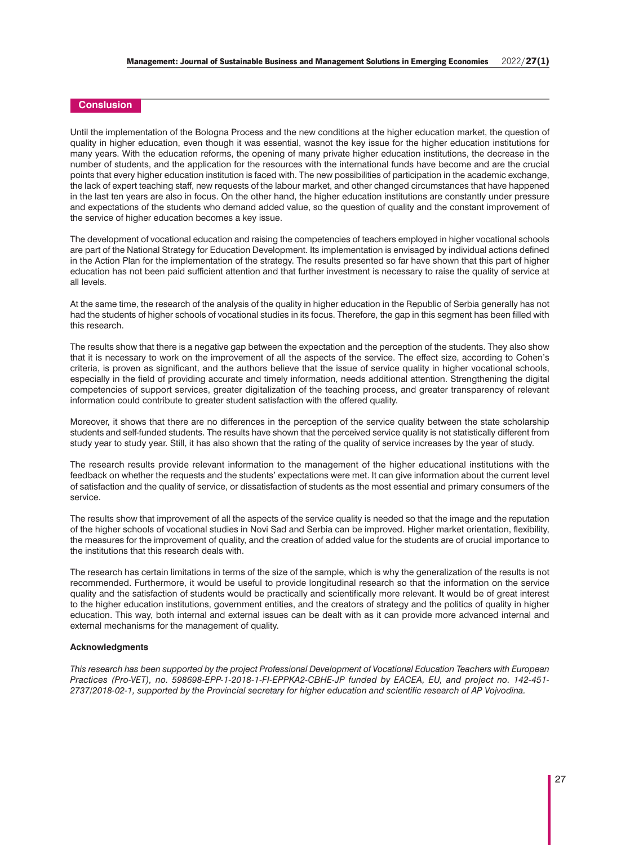## **Conslusion**

Until the implementation of the Bologna Process and the new conditions at the higher education market, the question of quality in higher education, even though it was essential, wasnot the key issue for the higher education institutions for many years. With the education reforms, the opening of many private higher education institutions, the decrease in the number of students, and the application for the resources with the international funds have become and are the crucial points that every higher education institution is faced with. The new possibilities of participation in the academic exchange, the lack of expert teaching staff, new requests of the labour market, and other changed circumstances that have happened in the last ten years are also in focus. On the other hand, the higher education institutions are constantly under pressure and expectations of the students who demand added value, so the question of quality and the constant improvement of the service of higher education becomes a key issue.

The development of vocational education and raising the competencies of teachers employed in higher vocational schools are part of the National Strategy for Education Development. Its implementation is envisaged by individual actions defined in the Action Plan for the implementation of the strategy. The results presented so far have shown that this part of higher education has not been paid sufficient attention and that further investment is necessary to raise the quality of service at all levels.

At the same time, the research of the analysis of the quality in higher education in the Republic of Serbia generally has not had the students of higher schools of vocational studies in its focus. Therefore, the gap in this segment has been filled with this research.

The results show that there is a negative gap between the expectation and the perception of the students. They also show that it is necessary to work on the improvement of all the aspects of the service. The effect size, according to Cohen's criteria, is proven as significant, and the authors believe that the issue of service quality in higher vocational schools, especially in the field of providing accurate and timely information, needs additional attention. Strengthening the digital competencies of support services, greater digitalization of the teaching process, and greater transparency of relevant information could contribute to greater student satisfaction with the offered quality.

Moreover, it shows that there are no differences in the perception of the service quality between the state scholarship students and self-funded students. The results have shown that the perceived service quality is not statistically different from study year to study year. Still, it has also shown that the rating of the quality of service increases by the year of study.

The research results provide relevant information to the management of the higher educational institutions with the feedback on whether the requests and the students' expectations were met. It can give information about the current level of satisfaction and the quality of service, or dissatisfaction of students as the most essential and primary consumers of the service.

The results show that improvement of all the aspects of the service quality is needed so that the image and the reputation of the higher schools of vocational studies in Novi Sad and Serbia can be improved. Higher market orientation, flexibility, the measures for the improvement of quality, and the creation of added value for the students are of crucial importance to the institutions that this research deals with.

The research has certain limitations in terms of the size of the sample, which is why the generalization of the results is not recommended. Furthermore, it would be useful to provide longitudinal research so that the information on the service quality and the satisfaction of students would be practically and scientifically more relevant. It would be of great interest to the higher education institutions, government entities, and the creators of strategy and the politics of quality in higher education. This way, both internal and external issues can be dealt with as it can provide more advanced internal and external mechanisms for the management of quality.

#### **Acknowledgments**

*This research has been supported by the project Professional Development of Vocational Education Teachers with European Practices (Pro-VET), no. 598698-EPP-1-2018-1-FI-EPPKA2-CBHE-JP funded by EACEA, EU, and project no. 142-451- 2737/2018-02-1, supported by the Provincial secretary for higher education and scientific research of AP Vojvodina.*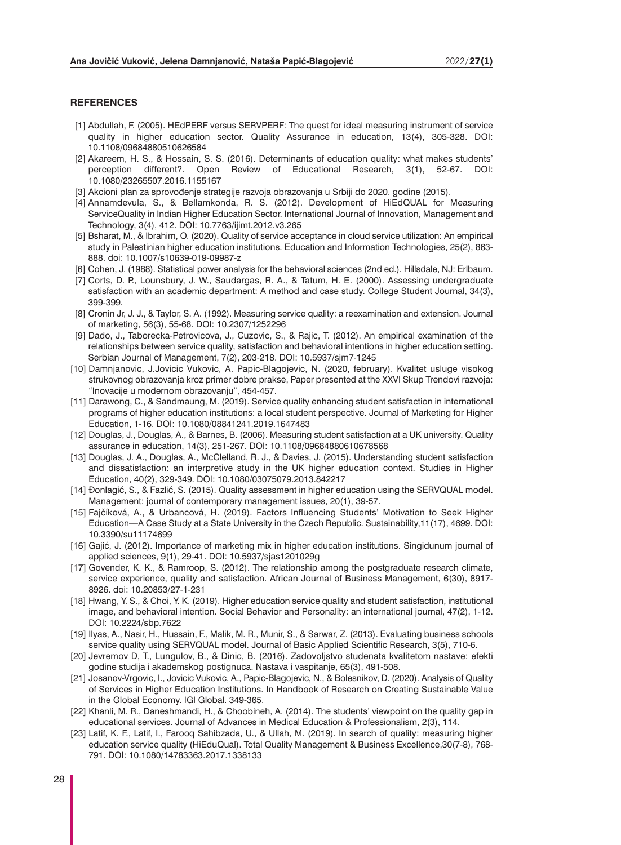## **REFERENCES**

- [1] Abdullah, F. (2005). HEdPERF versus SERVPERF: The quest for ideal measuring instrument of service quality in higher education sector. Quality Assurance in education, 13(4), 305-328. DOI: 10.1108/09684880510626584
- [2] Akareem, H. S., & Hossain, S. S. (2016). Determinants of education quality: what makes students' perception different?. Open Review of Educational Research, 3(1), 52-67. DOI: 10.1080/23265507.2016.1155167
- [3] Akcioni plan za sprovođenje strategije razvoja obrazovanja u Srbiji do 2020. godine (2015).
- [4] Annamdevula, S., & Bellamkonda, R. S. (2012). Development of HiEdQUAL for Measuring ServiceQuality in Indian Higher Education Sector. International Journal of Innovation, Management and Technology, 3(4), 412. DOI: 10.7763/ijimt.2012.v3.265
- [5] Bsharat, M., & Ibrahim, O. (2020). Quality of service acceptance in cloud service utilization: An empirical study in Palestinian higher education institutions. Education and Information Technologies, 25(2), 863- 888. doi: 10.1007/s10639-019-09987-z
- [6] Cohen, J. (1988). Statistical power analysis for the behavioral sciences (2nd ed.). Hillsdale, NJ: Erlbaum.
- [7] Corts, D. P., Lounsbury, J. W., Saudargas, R. A., & Tatum, H. E. (2000). Assessing undergraduate satisfaction with an academic department: A method and case study. College Student Journal, 34(3), 399-399.
- [8] Cronin Jr, J. J., & Taylor, S. A. (1992). Measuring service quality: a reexamination and extension. Journal of marketing, 56(3), 55-68. DOI: 10.2307/1252296
- [9] Dado, J., Taborecka-Petrovicova, J., Cuzovic, S., & Rajic, T. (2012). An empirical examination of the relationships between service quality, satisfaction and behavioral intentions in higher education setting. Serbian Journal of Management, 7(2), 203-218. DOI: 10.5937/sjm7-1245
- [10] Damnjanovic, J.Jovicic Vukovic, A. Papic-Blagojevic, N. (2020, february). Kvalitet usluge visokog strukovnog obrazovanja kroz primer dobre prakse, Paper presented at the XXVI Skup Trendovi razvoja: "Inovacije u modernom obrazovanju", 454-457.
- [11] Darawong, C., & Sandmaung, M. (2019). Service quality enhancing student satisfaction in international programs of higher education institutions: a local student perspective. Journal of Marketing for Higher Education, 1-16. DOI: 10.1080/08841241.2019.1647483
- [12] Douglas, J., Douglas, A., & Barnes, B. (2006). Measuring student satisfaction at a UK university. Quality assurance in education, 14(3), 251-267. DOI: 10.1108/09684880610678568
- [13] Douglas, J. A., Douglas, A., McClelland, R. J., & Davies, J. (2015). Understanding student satisfaction and dissatisfaction: an interpretive study in the UK higher education context. Studies in Higher Education, 40(2), 329-349. DOI: 10.1080/03075079.2013.842217
- [14] Đonlagić, S., & Fazlić, S. (2015). Quality assessment in higher education using the SERVQUAL model. Management: journal of contemporary management issues, 20(1), 39-57.
- [15] Fajčíková, A., & Urbancová, H. (2019). Factors Influencing Students' Motivation to Seek Higher Education—A Case Study at a State University in the Czech Republic. Sustainability,11(17), 4699. DOI: 10.3390/su11174699
- [16] Gajić, J. (2012). Importance of marketing mix in higher education institutions. Singidunum journal of applied sciences, 9(1), 29-41. DOI: 10.5937/sjas1201029g
- [17] Govender, K. K., & Ramroop, S. (2012). The relationship among the postgraduate research climate, service experience, quality and satisfaction. African Journal of Business Management, 6(30), 8917- 8926. doi: 10.20853/27-1-231
- [18] Hwang, Y. S., & Choi, Y. K. (2019). Higher education service quality and student satisfaction, institutional image, and behavioral intention. Social Behavior and Personality: an international journal, 47(2), 1-12. DOI: 10.2224/sbp.7622
- [19] Ilyas, A., Nasir, H., Hussain, F., Malik, M. R., Munir, S., & Sarwar, Z. (2013). Evaluating business schools service quality using SERVQUAL model. Journal of Basic Applied Scientific Research, 3(5), 710-6.
- [20] Jevremov D, T., Lungulov, B., & Dinic, B. (2016). Zadovoljstvo studenata kvalitetom nastave: efekti godine studija i akademskog postignuca. Nastava i vaspitanje, 65(3), 491-508.
- [21] Josanov-Vrgovic, I., Jovicic Vukovic, A., Papic-Blagojevic, N., & Bolesnikov, D. (2020). Analysis of Quality of Services in Higher Education Institutions. In Handbook of Research on Creating Sustainable Value in the Global Economy. IGI Global. 349-365.
- [22] Khanli, M. R., Daneshmandi, H., & Choobineh, A. (2014). The students' viewpoint on the quality gap in educational services. Journal of Advances in Medical Education & Professionalism, 2(3), 114.
- [23] Latif, K. F., Latif, I., Farooq Sahibzada, U., & Ullah, M. (2019). In search of quality: measuring higher education service quality (HiEduQual). Total Quality Management & Business Excellence,30(7-8), 768- 791. DOI: 10.1080/14783363.2017.1338133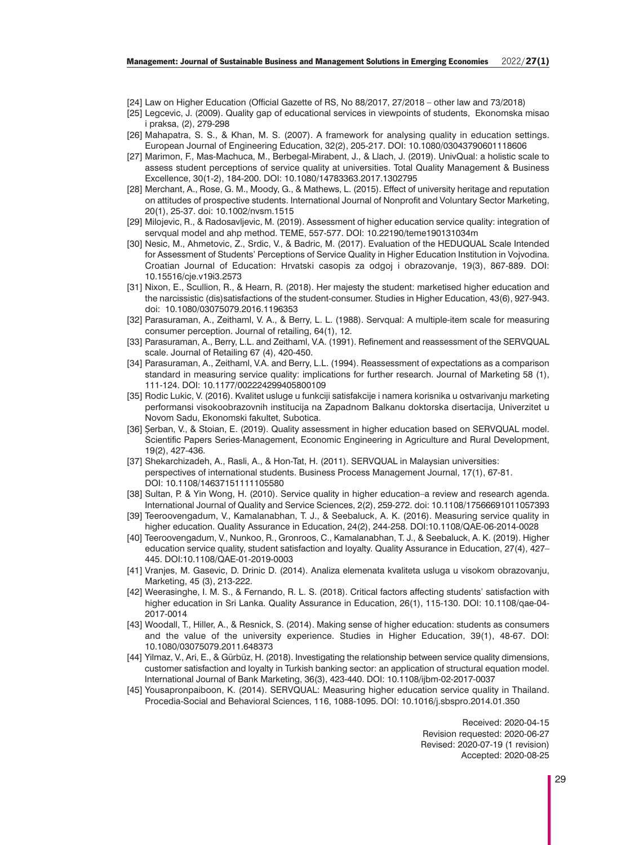- [24] Law on Higher Education (Official Gazette of RS, No 88/2017, 27/2018 other law and 73/2018)
- [25] Legcevic, J. (2009). Quality gap of educational services in viewpoints of students, Ekonomska misao i praksa, (2), 279-298
- [26] Mahapatra, S. S., & Khan, M. S. (2007). A framework for analysing quality in education settings. European Journal of Engineering Education, 32(2), 205-217. DOI: 10.1080/03043790601118606
- [27] Marimon, F., Mas-Machuca, M., Berbegal-Mirabent, J., & Llach, J. (2019). UnivQual: a holistic scale to assess student perceptions of service quality at universities. Total Quality Management & Business Excellence, 30(1-2), 184-200. DOI: 10.1080/14783363.2017.1302795
- [28] Merchant, A., Rose, G. M., Moody, G., & Mathews, L. (2015). Effect of university heritage and reputation on attitudes of prospective students. International Journal of Nonprofit and Voluntary Sector Marketing, 20(1), 25-37. doi: 10.1002/nvsm.1515
- [29] Milojevic, R., & Radosavljevic, M. (2019). Assessment of higher education service quality: integration of servqual model and ahp method. TEME, 557-577. DOI: 10.22190/teme190131034m
- [30] Nesic, M., Ahmetovic, Z., Srdic, V., & Badric, M. (2017). Evaluation of the HEDUQUAL Scale Intended for Assessment of Students' Perceptions of Service Quality in Higher Education Institution in Vojvodina. Croatian Journal of Education: Hrvatski casopis za odgoj i obrazovanje, 19(3), 867-889. DOI: 10.15516/cje.v19i3.2573
- [31] Nixon, E., Scullion, R., & Hearn, R. (2018). Her majesty the student: marketised higher education and the narcissistic (dis)satisfactions of the student-consumer. Studies in Higher Education, 43(6), 927-943. doi: 10.1080/03075079.2016.1196353
- [32] Parasuraman, A., Zeithaml, V. A., & Berry, L. L. (1988). Servqual: A multiple-item scale for measuring consumer perception. Journal of retailing, 64(1), 12.
- [33] Parasuraman, A., Berry, L.L. and Zeithaml, V.A. (1991). Refinement and reassessment of the SERVQUAL scale. Journal of Retailing 67 (4), 420-450.
- [34] Parasuraman, A., Zeithaml, V.A. and Berry, L.L. (1994). Reassessment of expectations as a comparison standard in measuring service quality: implications for further research. Journal of Marketing 58 (1), 111-124. DOI: 10.1177/002224299405800109
- [35] Rodic Lukic, V. (2016). Kvalitet usluge u funkciji satisfakcije i namera korisnika u ostvarivanju marketing performansi visokoobrazovnih institucija na Zapadnom Balkanu doktorska disertacija, Univerzitet u Novom Sadu, Ekonomski fakultet, Subotica.
- [36] Șerban, V., & Stoian, E. (2019). Quality assessment in higher education based on SERVQUAL model. Scientific Papers Series-Management, Economic Engineering in Agriculture and Rural Development, 19(2), 427-436.
- [37] Shekarchizadeh, A., Rasli, A., & Hon-Tat, H. (2011). SERVQUAL in Malaysian universities: perspectives of international students. Business Process Management Journal, 17(1), 67-81. DOI: 10.1108/14637151111105580
- [38] Sultan, P. & Yin Wong, H. (2010). Service quality in higher education–a review and research agenda. International Journal of Quality and Service Sciences, 2(2), 259-272. doi: 10.1108/17566691011057393
- [39] Teeroovengadum, V., Kamalanabhan, T. J., & Seebaluck, A. K. (2016). Measuring service quality in higher education. Quality Assurance in Education, 24(2), 244-258. DOI:10.1108/QAE-06-2014-0028
- [40] Teeroovengadum, V., Nunkoo, R., Gronroos, C., Kamalanabhan, T. J., & Seebaluck, A. K. (2019). Higher education service quality, student satisfaction and loyalty. Quality Assurance in Education, 27(4), 427– 445. DOI:10.1108/QAE-01-2019-0003
- [41] Vranjes, M. Gasevic, D. Drinic D. (2014). Analiza elemenata kvaliteta usluga u visokom obrazovanju, Marketing, 45 (3), 213-222.
- [42] Weerasinghe, I. M. S., & Fernando, R. L. S. (2018). Critical factors affecting students' satisfaction with higher education in Sri Lanka. Quality Assurance in Education, 26(1), 115-130. DOI: 10.1108/qae-04- 2017-0014
- [43] Woodall, T., Hiller, A., & Resnick, S. (2014). Making sense of higher education: students as consumers and the value of the university experience. Studies in Higher Education, 39(1), 48-67. DOI: 10.1080/03075079.2011.648373
- [44] Yilmaz, V., Ari, E., & Gürbüz, H. (2018). Investigating the relationship between service quality dimensions, customer satisfaction and loyalty in Turkish banking sector: an application of structural equation model. International Journal of Bank Marketing, 36(3), 423-440. DOI: 10.1108/ijbm-02-2017-0037
- [45] Yousapronpaiboon, K. (2014). SERVQUAL: Measuring higher education service quality in Thailand. Procedia-Social and Behavioral Sciences, 116, 1088-1095. DOI: 10.1016/j.sbspro.2014.01.350

Received: 2020-04-15 Revision requested: 2020-06-27 Revised: 2020-07-19 (1 revision) Accepted: 2020-08-25